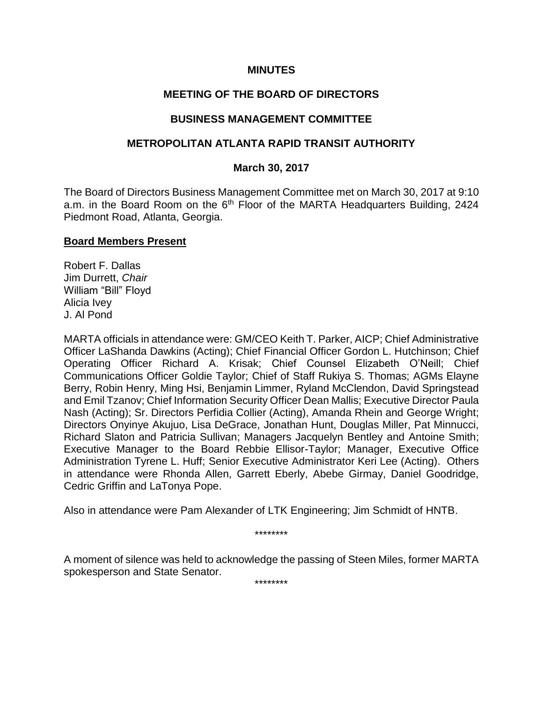### **MINUTES**

# **MEETING OF THE BOARD OF DIRECTORS**

### **BUSINESS MANAGEMENT COMMITTEE**

### **METROPOLITAN ATLANTA RAPID TRANSIT AUTHORITY**

### **March 30, 2017**

The Board of Directors Business Management Committee met on March 30, 2017 at 9:10 a.m. in the Board Room on the  $6<sup>th</sup>$  Floor of the MARTA Headquarters Building, 2424 Piedmont Road, Atlanta, Georgia.

#### **Board Members Present**

Robert F. Dallas Jim Durrett, *Chair*  William "Bill" Floyd Alicia Ivey J. Al Pond

MARTA officials in attendance were: GM/CEO Keith T. Parker, AICP; Chief Administrative Officer LaShanda Dawkins (Acting); Chief Financial Officer Gordon L. Hutchinson; Chief Operating Officer Richard A. Krisak; Chief Counsel Elizabeth O'Neill; Chief Communications Officer Goldie Taylor; Chief of Staff Rukiya S. Thomas; AGMs Elayne Berry, Robin Henry, Ming Hsi, Benjamin Limmer, Ryland McClendon, David Springstead and Emil Tzanov; Chief Information Security Officer Dean Mallis; Executive Director Paula Nash (Acting); Sr. Directors Perfidia Collier (Acting), Amanda Rhein and George Wright; Directors Onyinye Akujuo, Lisa DeGrace, Jonathan Hunt, Douglas Miller, Pat Minnucci, Richard Slaton and Patricia Sullivan; Managers Jacquelyn Bentley and Antoine Smith; Executive Manager to the Board Rebbie Ellisor-Taylor; Manager, Executive Office Administration Tyrene L. Huff; Senior Executive Administrator Keri Lee (Acting). Others in attendance were Rhonda Allen, Garrett Eberly, Abebe Girmay, Daniel Goodridge, Cedric Griffin and LaTonya Pope.

Also in attendance were Pam Alexander of LTK Engineering; Jim Schmidt of HNTB.

\*\*\*\*\*\*\*\*

A moment of silence was held to acknowledge the passing of Steen Miles, former MARTA spokesperson and State Senator.

\*\*\*\*\*\*\*\*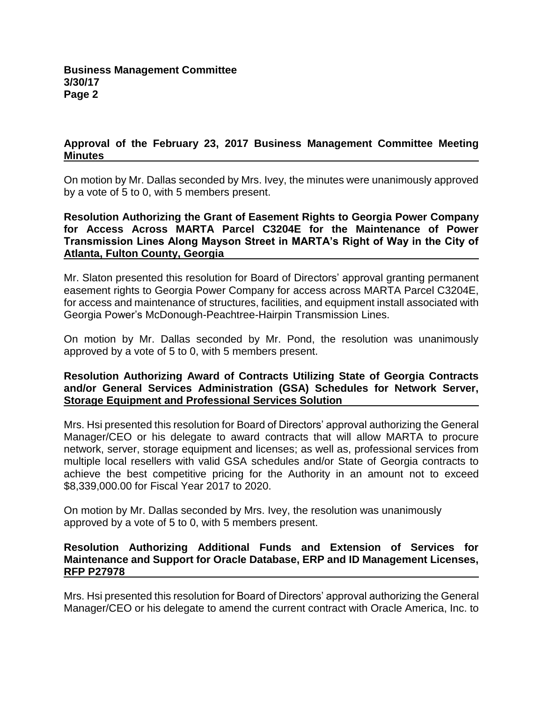# **Approval of the February 23, 2017 Business Management Committee Meeting Minutes**

On motion by Mr. Dallas seconded by Mrs. Ivey, the minutes were unanimously approved by a vote of 5 to 0, with 5 members present.

**Resolution Authorizing the Grant of Easement Rights to Georgia Power Company for Access Across MARTA Parcel C3204E for the Maintenance of Power Transmission Lines Along Mayson Street in MARTA's Right of Way in the City of Atlanta, Fulton County, Georgia**

Mr. Slaton presented this resolution for Board of Directors' approval granting permanent easement rights to Georgia Power Company for access across MARTA Parcel C3204E, for access and maintenance of structures, facilities, and equipment install associated with Georgia Power's McDonough-Peachtree-Hairpin Transmission Lines.

On motion by Mr. Dallas seconded by Mr. Pond, the resolution was unanimously approved by a vote of 5 to 0, with 5 members present.

### **Resolution Authorizing Award of Contracts Utilizing State of Georgia Contracts and/or General Services Administration (GSA) Schedules for Network Server, Storage Equipment and Professional Services Solution**

Mrs. Hsi presented this resolution for Board of Directors' approval authorizing the General Manager/CEO or his delegate to award contracts that will allow MARTA to procure network, server, storage equipment and licenses; as well as, professional services from multiple local resellers with valid GSA schedules and/or State of Georgia contracts to achieve the best competitive pricing for the Authority in an amount not to exceed \$8,339,000.00 for Fiscal Year 2017 to 2020.

On motion by Mr. Dallas seconded by Mrs. Ivey, the resolution was unanimously approved by a vote of 5 to 0, with 5 members present.

### **Resolution Authorizing Additional Funds and Extension of Services for Maintenance and Support for Oracle Database, ERP and ID Management Licenses, RFP P27978**

Mrs. Hsi presented this resolution for Board of Directors' approval authorizing the General Manager/CEO or his delegate to amend the current contract with Oracle America, Inc. to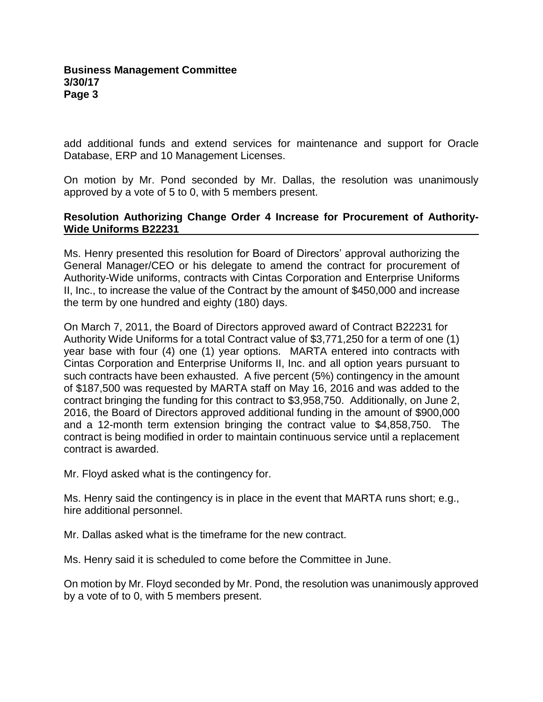add additional funds and extend services for maintenance and support for Oracle Database, ERP and 10 Management Licenses.

On motion by Mr. Pond seconded by Mr. Dallas, the resolution was unanimously approved by a vote of 5 to 0, with 5 members present.

### **Resolution Authorizing Change Order 4 Increase for Procurement of Authority-Wide Uniforms B22231**

Ms. Henry presented this resolution for Board of Directors' approval authorizing the General Manager/CEO or his delegate to amend the contract for procurement of Authority-Wide uniforms, contracts with Cintas Corporation and Enterprise Uniforms II, Inc., to increase the value of the Contract by the amount of \$450,000 and increase the term by one hundred and eighty (180) days.

On March 7, 2011, the Board of Directors approved award of Contract B22231 for Authority Wide Uniforms for a total Contract value of \$3,771,250 for a term of one (1) year base with four (4) one (1) year options. MARTA entered into contracts with Cintas Corporation and Enterprise Uniforms II, Inc. and all option years pursuant to such contracts have been exhausted. A five percent (5%) contingency in the amount of \$187,500 was requested by MARTA staff on May 16, 2016 and was added to the contract bringing the funding for this contract to \$3,958,750. Additionally, on June 2, 2016, the Board of Directors approved additional funding in the amount of \$900,000 and a 12-month term extension bringing the contract value to \$4,858,750. The contract is being modified in order to maintain continuous service until a replacement contract is awarded.

Mr. Floyd asked what is the contingency for.

Ms. Henry said the contingency is in place in the event that MARTA runs short; e.g., hire additional personnel.

Mr. Dallas asked what is the timeframe for the new contract.

Ms. Henry said it is scheduled to come before the Committee in June.

On motion by Mr. Floyd seconded by Mr. Pond, the resolution was unanimously approved by a vote of to 0, with 5 members present.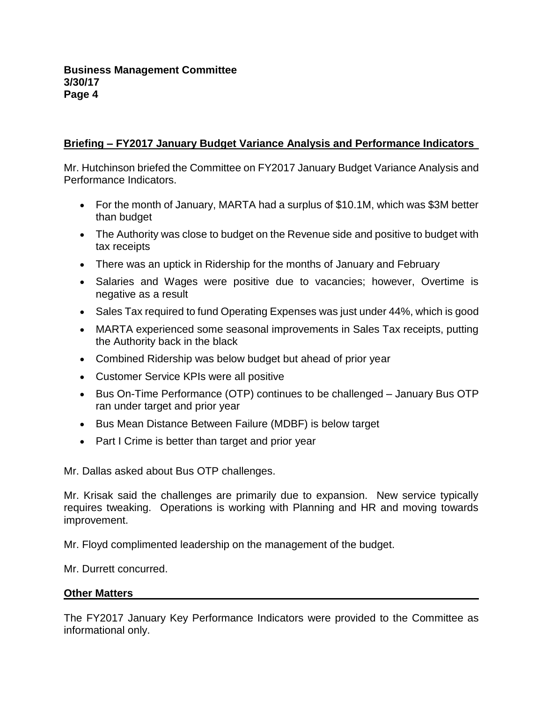# **Briefing – FY2017 January Budget Variance Analysis and Performance Indicators**

Mr. Hutchinson briefed the Committee on FY2017 January Budget Variance Analysis and Performance Indicators.

- For the month of January, MARTA had a surplus of \$10.1M, which was \$3M better than budget
- The Authority was close to budget on the Revenue side and positive to budget with tax receipts
- There was an uptick in Ridership for the months of January and February
- Salaries and Wages were positive due to vacancies; however, Overtime is negative as a result
- Sales Tax required to fund Operating Expenses was just under 44%, which is good
- MARTA experienced some seasonal improvements in Sales Tax receipts, putting the Authority back in the black
- Combined Ridership was below budget but ahead of prior year
- Customer Service KPIs were all positive
- Bus On-Time Performance (OTP) continues to be challenged January Bus OTP ran under target and prior year
- Bus Mean Distance Between Failure (MDBF) is below target
- Part I Crime is better than target and prior year

Mr. Dallas asked about Bus OTP challenges.

Mr. Krisak said the challenges are primarily due to expansion. New service typically requires tweaking. Operations is working with Planning and HR and moving towards improvement.

Mr. Floyd complimented leadership on the management of the budget.

Mr. Durrett concurred.

# **Other Matters**

The FY2017 January Key Performance Indicators were provided to the Committee as informational only.